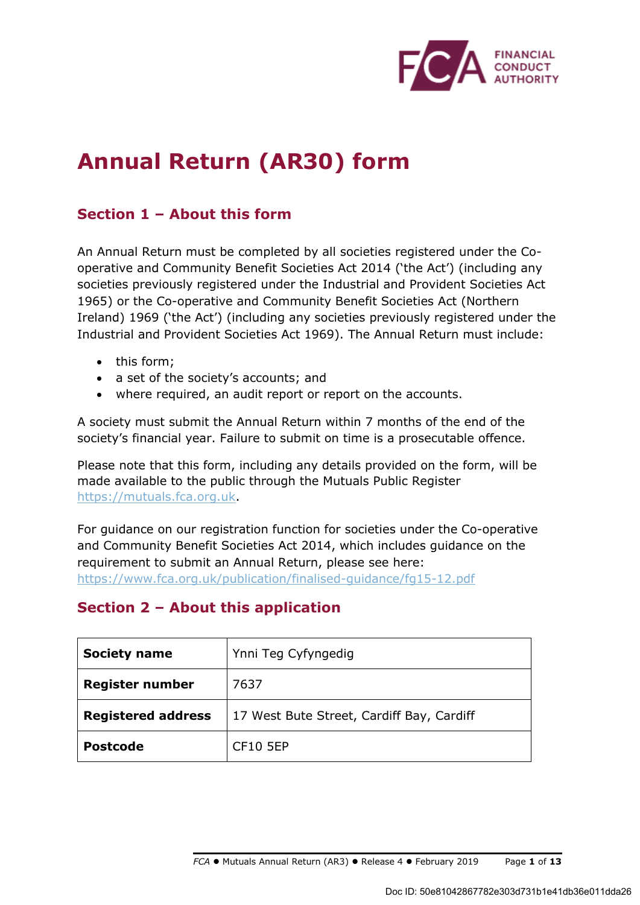

# **Annual Return (AR30) form**

## **Section 1 – About this form**

An Annual Return must be completed by all societies registered under the Cooperative and Community Benefit Societies Act 2014 ('the Act') (including any societies previously registered under the Industrial and Provident Societies Act 1965) or the Co-operative and Community Benefit Societies Act (Northern Ireland) 1969 ('the Act') (including any societies previously registered under the Industrial and Provident Societies Act 1969). The Annual Return must include:

- this form;
- a set of the society's accounts; and
- where required, an audit report or report on the accounts.

A society must submit the Annual Return within 7 months of the end of the society's financial year. Failure to submit on time is a prosecutable offence.

Please note that this form, including any details provided on the form, will be made available to the public through the Mutuals Public Register https://mutuals.fca.org.uk.

For guidance on our registration function for societies under the Co-operative and Community Benefit Societies Act 2014, which includes guidance on the requirement to submit an Annual Return, please see here: https://www.fca.org.uk/publication/finalised-guidance/fg15-12.pdf

## **Section 2 – About this application**

| <b>Society name</b>                                                    | Ynni Teg Cyfyngedig |  |
|------------------------------------------------------------------------|---------------------|--|
| <b>Register number</b>                                                 | 7637                |  |
| <b>Registered address</b><br>17 West Bute Street, Cardiff Bay, Cardiff |                     |  |
| <b>Postcode</b>                                                        | CF10 5EP            |  |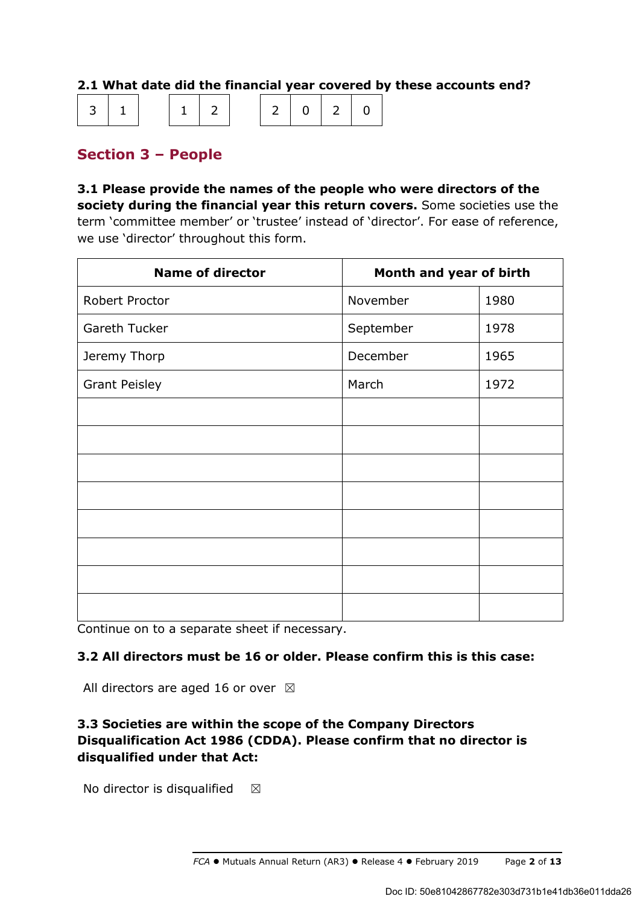## **2.1 What date did the financial year covered by these accounts end?**

|  | $ 3 1 $ $ 1 2$ $ 2 0 2 0 $ |  |  |  |  |  |  |  |
|--|----------------------------|--|--|--|--|--|--|--|
|--|----------------------------|--|--|--|--|--|--|--|

## **Section 3 – People**

**3.1 Please provide the names of the people who were directors of the society during the financial year this return covers.** Some societies use the term 'committee member' or 'trustee' instead of 'director'. For ease of reference, we use 'director' throughout this form.

| <b>Name of director</b> | Month and year of birth |      |  |
|-------------------------|-------------------------|------|--|
| Robert Proctor          | November                | 1980 |  |
| Gareth Tucker           | September               | 1978 |  |
| Jeremy Thorp            | December                | 1965 |  |
| <b>Grant Peisley</b>    | March                   | 1972 |  |
|                         |                         |      |  |
|                         |                         |      |  |
|                         |                         |      |  |
|                         |                         |      |  |
|                         |                         |      |  |
|                         |                         |      |  |
|                         |                         |      |  |
|                         |                         |      |  |

Continue on to a separate sheet if necessary.

### **3.2 All directors must be 16 or older. Please confirm this is this case:**

All directors are aged 16 or over  $\boxtimes$ 

## **3.3 Societies are within the scope of the Company Directors Disqualification Act 1986 (CDDA). Please confirm that no director is disqualified under that Act:**

No director is disqualified  $\boxtimes$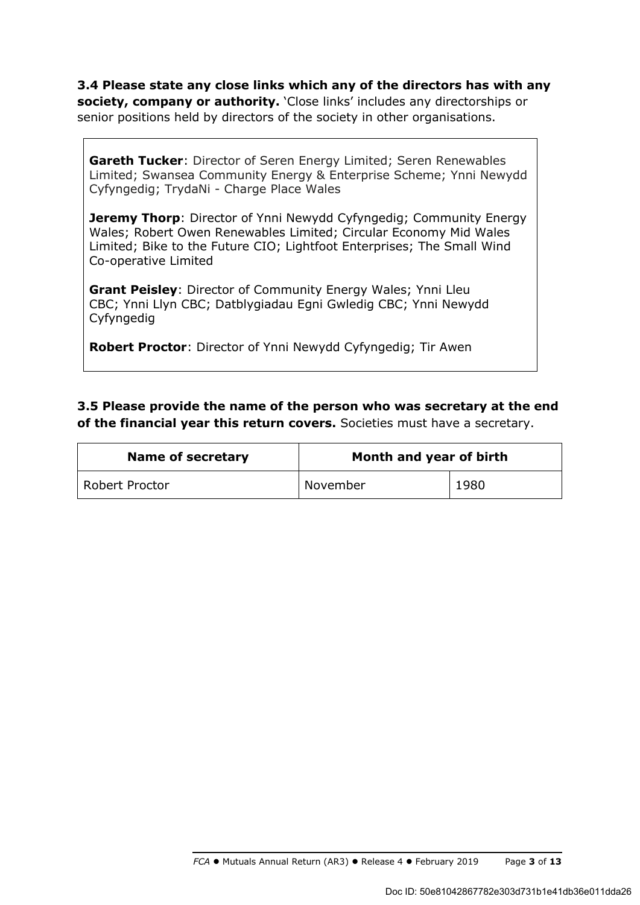**3.4 Please state any close links which any of the directors has with any society, company or authority.** 'Close links' includes any directorships or senior positions held by directors of the society in other organisations.

**Gareth Tucker**: Director of Seren Energy Limited; Seren Renewables Limited; Swansea Community Energy & Enterprise Scheme; Ynni Newydd Cyfyngedig; TrydaNi - Charge Place Wales

**Jeremy Thorp:** Director of Ynni Newydd Cyfyngedig; Community Energy Wales; Robert Owen Renewables Limited; Circular Economy Mid Wales Limited; Bike to the Future CIO; Lightfoot Enterprises; The Small Wind Co-operative Limited

**Grant Peisley**: Director of Community Energy Wales; Ynni Lleu CBC; Ynni Llyn CBC; Datblygiadau Egni Gwledig CBC; Ynni Newydd Cyfyngedig

**Robert Proctor**: Director of Ynni Newydd Cyfyngedig; Tir Awen

**3.5 Please provide the name of the person who was secretary at the end of the financial year this return covers.** Societies must have a secretary.

| <b>Name of secretary</b> | Month and year of birth |      |  |
|--------------------------|-------------------------|------|--|
| <b>Robert Proctor</b>    | November                | 1980 |  |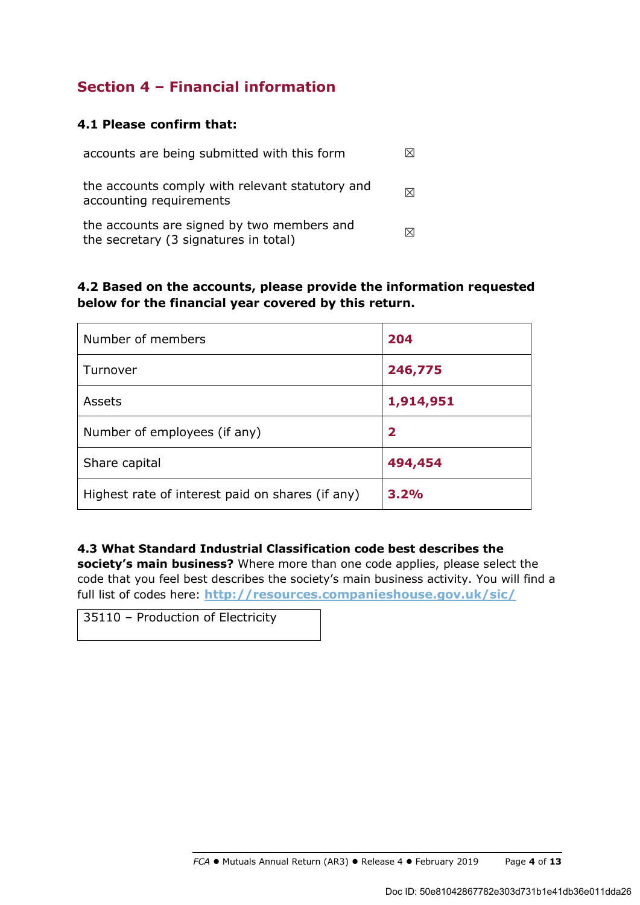## **Section 4 – Financial information**

## **4.1 Please confirm that:**

| accounts are being submitted with this form                                         |   |
|-------------------------------------------------------------------------------------|---|
| the accounts comply with relevant statutory and<br>accounting requirements          | M |
| the accounts are signed by two members and<br>the secretary (3 signatures in total) |   |

## **4.2 Based on the accounts, please provide the information requested below for the financial year covered by this return.**

| Number of members                                | 204          |
|--------------------------------------------------|--------------|
| Turnover                                         | 246,775      |
| Assets                                           | 1,914,951    |
| Number of employees (if any)                     | $\mathbf{2}$ |
| Share capital                                    | 494,454      |
| Highest rate of interest paid on shares (if any) | 3.2%         |

### **4.3 What Standard Industrial Classification code best describes the**

**society's main business?** Where more than one code applies, please select the code that you feel best describes the society's main business activity. You will find a full list of codes here: **http://resources.companieshouse.gov.uk/sic/**

35110 – Production of Electricity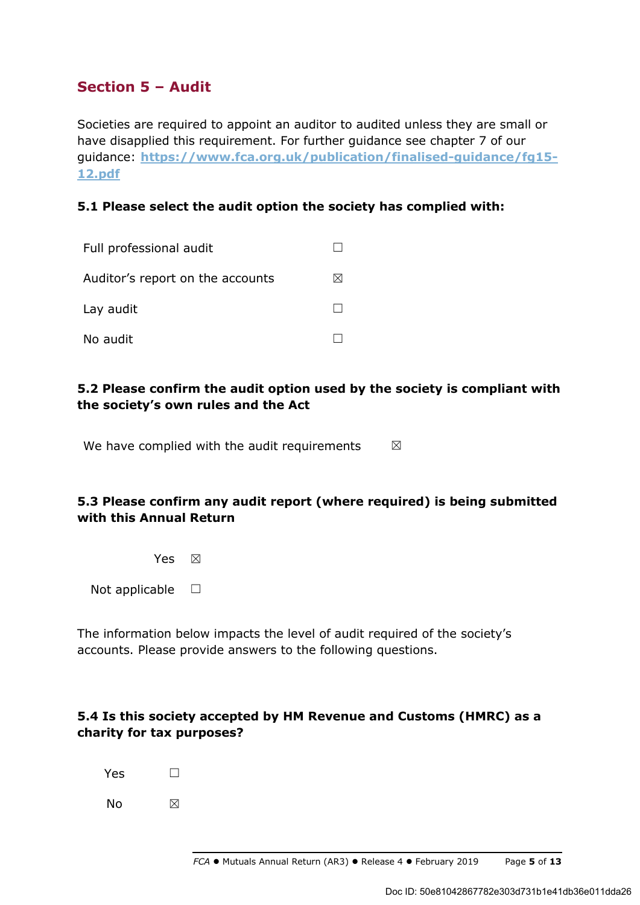## **Section 5 – Audit**

Societies are required to appoint an auditor to audited unless they are small or have disapplied this requirement. For further guidance see chapter 7 of our guidance: **https://www.fca.org.uk/publication/finalised-guidance/fg15- 12.pdf**

## **5.1 Please select the audit option the society has complied with:**

| Full professional audit          |   |
|----------------------------------|---|
| Auditor's report on the accounts | ⋈ |
| Lay audit                        |   |
| No audit                         |   |

## **5.2 Please confirm the audit option used by the society is compliant with the society's own rules and the Act**

We have complied with the audit requirements  $\boxtimes$ 

## **5.3 Please confirm any audit report (where required) is being submitted with this Annual Return**

Yes  $\boxtimes$ 

Not applicable  $\Box$ 

The information below impacts the level of audit required of the society's accounts. Please provide answers to the following questions.

## **5.4 Is this society accepted by HM Revenue and Customs (HMRC) as a charity for tax purposes?**

| Yes | П |
|-----|---|
| No  | ⊠ |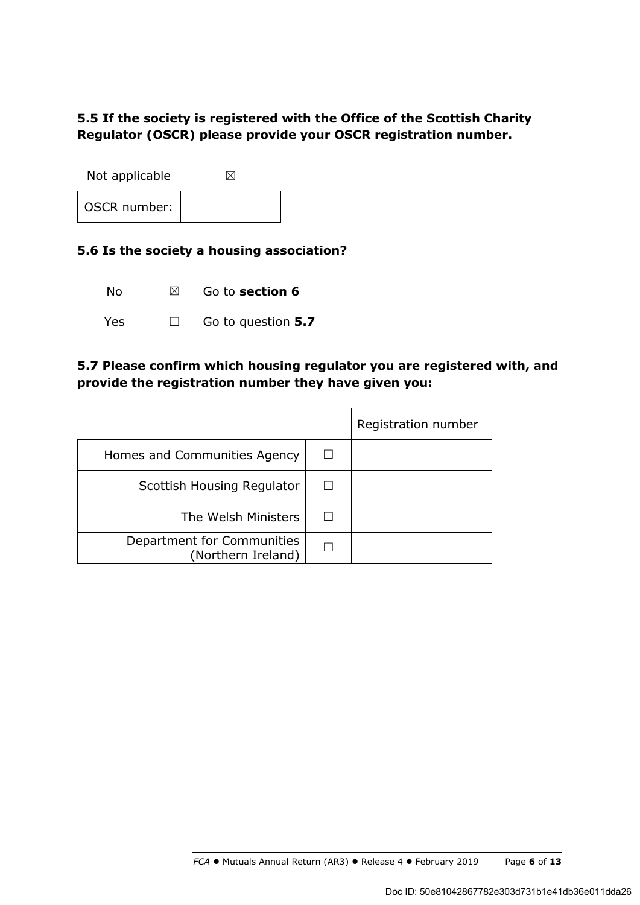## **5.5 If the society is registered with the Office of the Scottish Charity Regulator (OSCR) please provide your OSCR registration number.**

Not applicable  $\boxtimes$ OSCR number:

### **5.6 Is the society a housing association?**

No ☒ Go to **section 6**

Yes ☐ Go to question **5.7**

## **5.7 Please confirm which housing regulator you are registered with, and provide the registration number they have given you:**

|                                                  | Registration number |
|--------------------------------------------------|---------------------|
| Homes and Communities Agency                     |                     |
| Scottish Housing Regulator                       |                     |
| The Welsh Ministers                              |                     |
| Department for Communities<br>(Northern Ireland) |                     |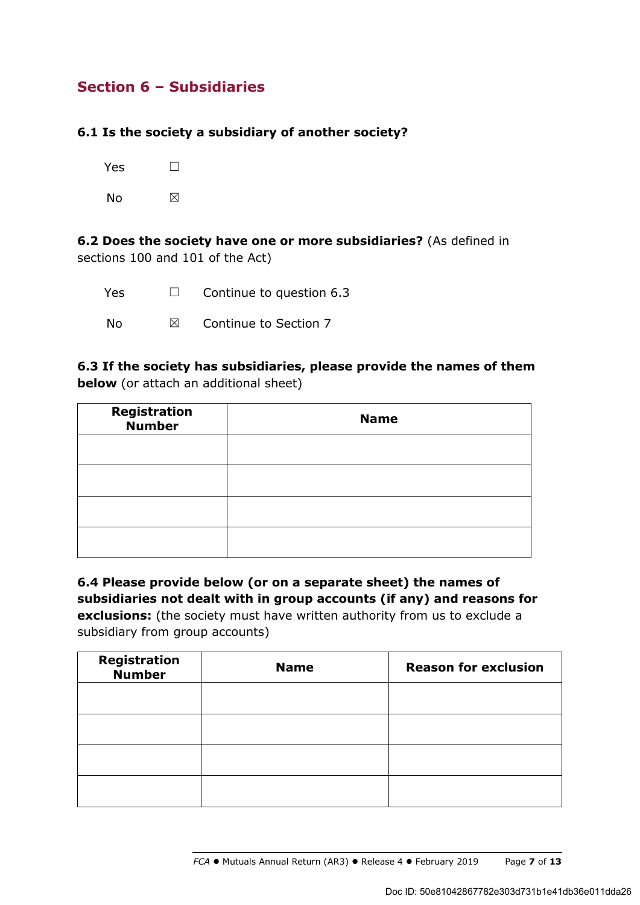## **Section 6 – Subsidiaries**

## **6.1 Is the society a subsidiary of another society?**

| Yes | $\mathbf{I}$ |
|-----|--------------|
| No  | ⊠            |

**6.2 Does the society have one or more subsidiaries?** (As defined in sections 100 and 101 of the Act)

| Yes  | $\Box$      | Continue to question 6.3 |
|------|-------------|--------------------------|
| . No | $\boxtimes$ | Continue to Section 7    |

**6.3 If the society has subsidiaries, please provide the names of them below** (or attach an additional sheet)

| <b>Registration</b><br><b>Number</b> | <b>Name</b> |
|--------------------------------------|-------------|
|                                      |             |
|                                      |             |
|                                      |             |
|                                      |             |

**6.4 Please provide below (or on a separate sheet) the names of subsidiaries not dealt with in group accounts (if any) and reasons for exclusions:** (the society must have written authority from us to exclude a subsidiary from group accounts)

| Registration<br><b>Number</b> | <b>Name</b> | <b>Reason for exclusion</b> |
|-------------------------------|-------------|-----------------------------|
|                               |             |                             |
|                               |             |                             |
|                               |             |                             |
|                               |             |                             |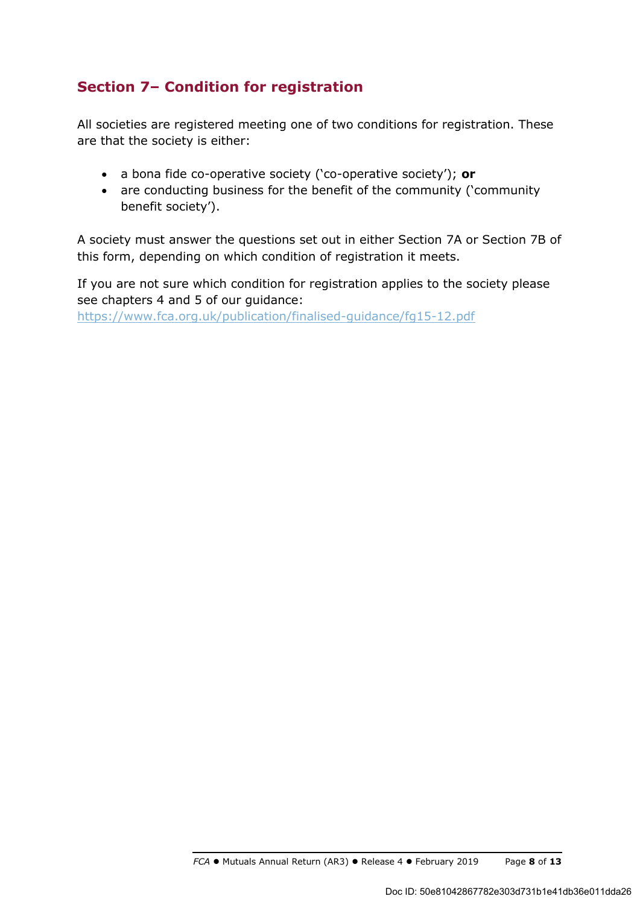## **Section 7– Condition for registration**

All societies are registered meeting one of two conditions for registration. These are that the society is either:

- a bona fide co-operative society ('co-operative society'); **or**
- are conducting business for the benefit of the community ('community benefit society').

A society must answer the questions set out in either Section 7A or Section 7B of this form, depending on which condition of registration it meets.

If you are not sure which condition for registration applies to the society please see chapters 4 and 5 of our guidance:

https://www.fca.org.uk/publication/finalised-guidance/fg15-12.pdf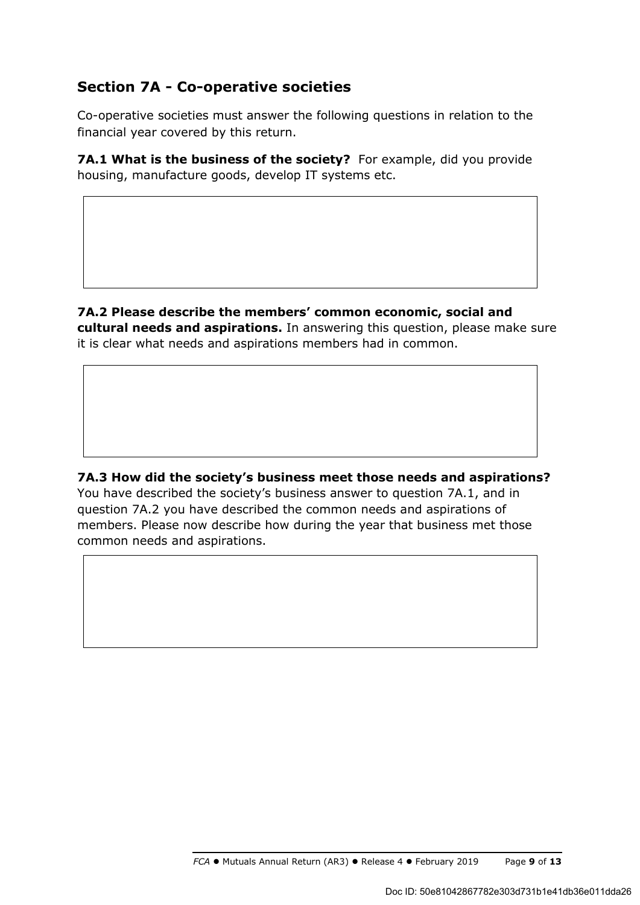## **Section 7A - Co-operative societies**

Co-operative societies must answer the following questions in relation to the financial year covered by this return.

**7A.1 What is the business of the society?** For example, did you provide housing, manufacture goods, develop IT systems etc.

**7A.2 Please describe the members' common economic, social and cultural needs and aspirations.** In answering this question, please make sure it is clear what needs and aspirations members had in common.

**7A.3 How did the society's business meet those needs and aspirations?**  You have described the society's business answer to question 7A.1, and in question 7A.2 you have described the common needs and aspirations of members. Please now describe how during the year that business met those common needs and aspirations.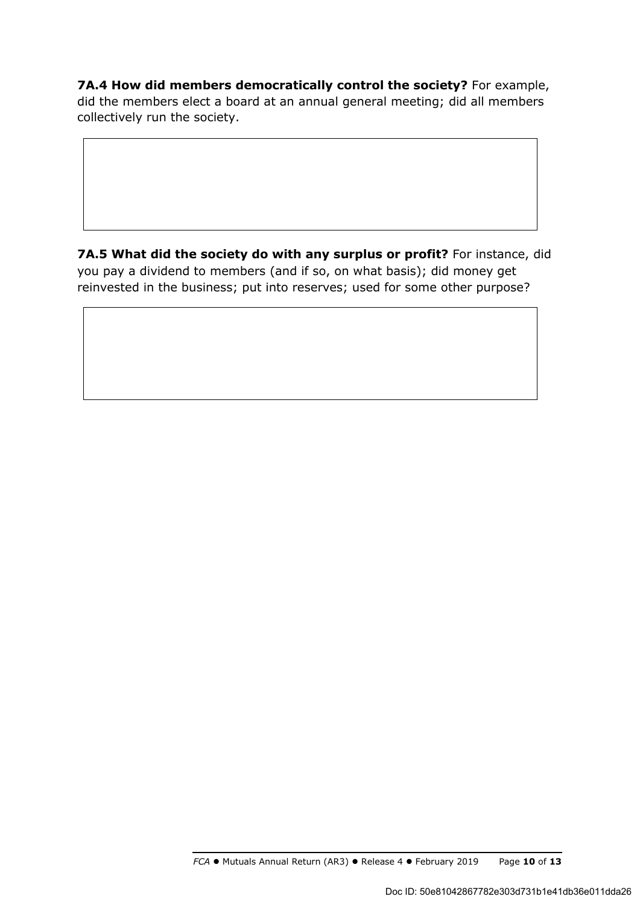**7A.4 How did members democratically control the society?** For example, did the members elect a board at an annual general meeting; did all members collectively run the society.

**7A.5 What did the society do with any surplus or profit?** For instance, did you pay a dividend to members (and if so, on what basis); did money get reinvested in the business; put into reserves; used for some other purpose?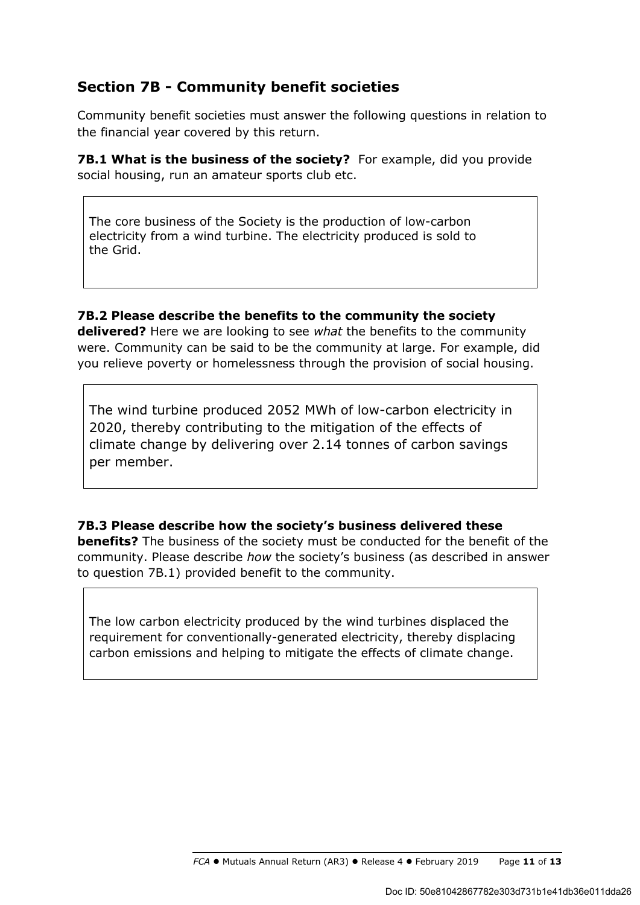## **Section 7B - Community benefit societies**

Community benefit societies must answer the following questions in relation to the financial year covered by this return.

**7B.1 What is the business of the society?** For example, did you provide social housing, run an amateur sports club etc.

The core business of the Society is the production of low-carbon electricity from a wind turbine. The electricity produced is sold to the Grid.

## **7B.2 Please describe the benefits to the community the society**

**delivered?** Here we are looking to see *what* the benefits to the community were. Community can be said to be the community at large. For example, did you relieve poverty or homelessness through the provision of social housing.

The wind turbine produced 2052 MWh of low-carbon electricity in 2020, thereby contributing to the mitigation of the effects of climate change by delivering over 2.14 tonnes of carbon savings per member.

**7B.3 Please describe how the society's business delivered these benefits?** The business of the society must be conducted for the benefit of the community. Please describe *how* the society's business (as described in answer to question 7B.1) provided benefit to the community.

The low carbon electricity produced by the wind turbines displaced the requirement for conventionally-generated electricity, thereby displacing carbon emissions and helping to mitigate the effects of climate change.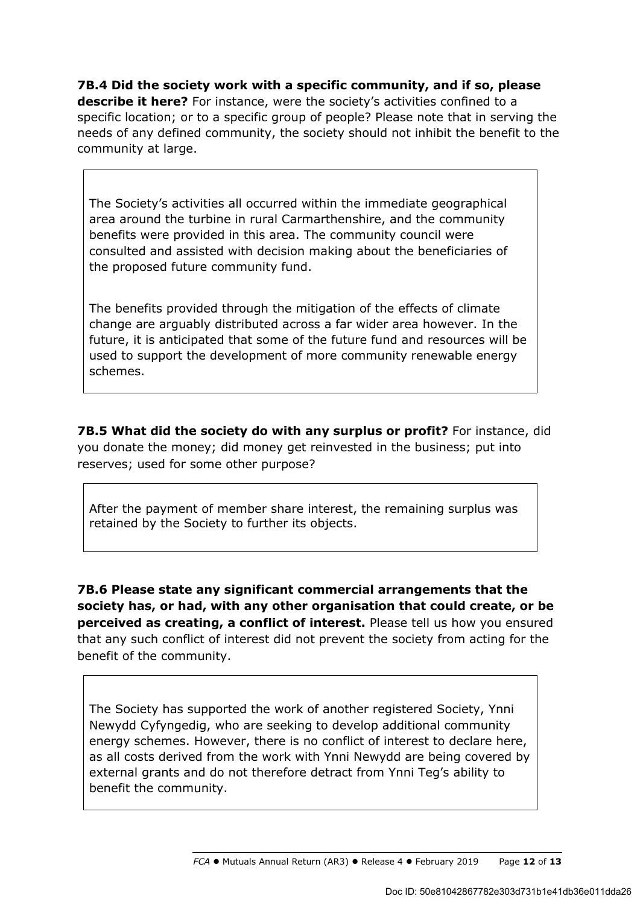**7B.4 Did the society work with a specific community, and if so, please describe it here?** For instance, were the society's activities confined to a specific location; or to a specific group of people? Please note that in serving the needs of any defined community, the society should not inhibit the benefit to the community at large.

The Society's activities all occurred within the immediate geographical area around the turbine in rural Carmarthenshire, and the community benefits were provided in this area. The community council were consulted and assisted with decision making about the beneficiaries of the proposed future community fund.

The benefits provided through the mitigation of the effects of climate change are arguably distributed across a far wider area however. In the future, it is anticipated that some of the future fund and resources will be used to support the development of more community renewable energy schemes.

**7B.5 What did the society do with any surplus or profit?** For instance, did you donate the money; did money get reinvested in the business; put into reserves; used for some other purpose?

After the payment of member share interest, the remaining surplus was retained by the Society to further its objects.

**7B.6 Please state any significant commercial arrangements that the society has, or had, with any other organisation that could create, or be perceived as creating, a conflict of interest.** Please tell us how you ensured that any such conflict of interest did not prevent the society from acting for the benefit of the community.

The Society has supported the work of another registered Society, Ynni Newydd Cyfyngedig, who are seeking to develop additional community energy schemes. However, there is no conflict of interest to declare here, as all costs derived from the work with Ynni Newydd are being covered by external grants and do not therefore detract from Ynni Teg's ability to benefit the community.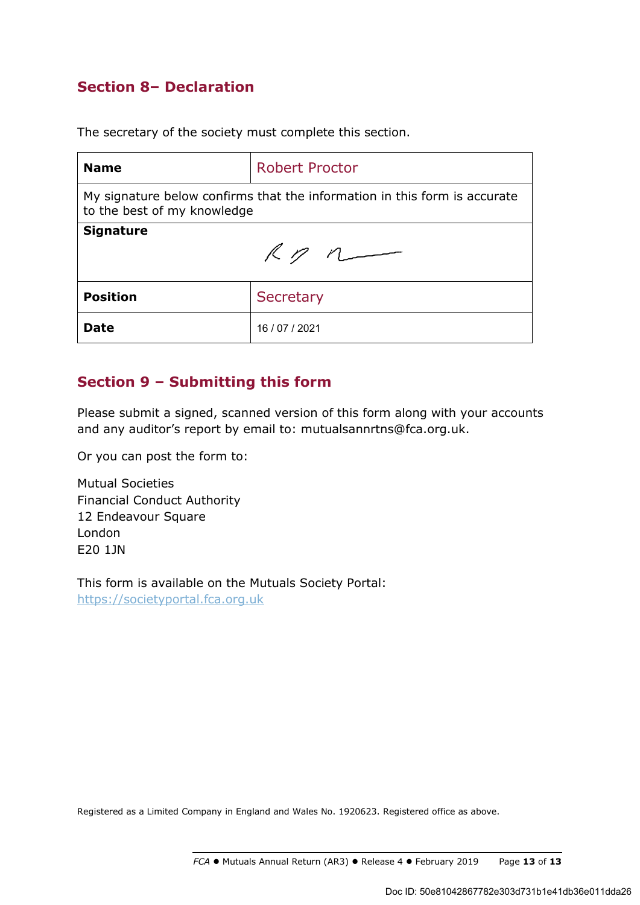## **Section 8– Declaration**

The secretary of the society must complete this section.

| <b>Name</b>                                                                                              | <b>Robert Proctor</b> |  |
|----------------------------------------------------------------------------------------------------------|-----------------------|--|
| My signature below confirms that the information in this form is accurate<br>to the best of my knowledge |                       |  |
| <b>Signature</b><br>Rp                                                                                   |                       |  |
| <b>Position</b>                                                                                          | Secretary             |  |
| Date                                                                                                     | 16 / 07 / 2021        |  |

## **Section 9 – Submitting this form**

Please submit a signed, scanned version of this form along with your accounts and any auditor's report by email to: mutualsannrtns@fca.org.uk.

Or you can post the form to:

Mutual Societies Financial Conduct Authority 12 Endeavour Square London E20 1JN

This form is available on the Mutuals Society Portal: https://societyportal.fca.org.uk

Registered as a Limited Company in England and Wales No. 1920623. Registered office as above.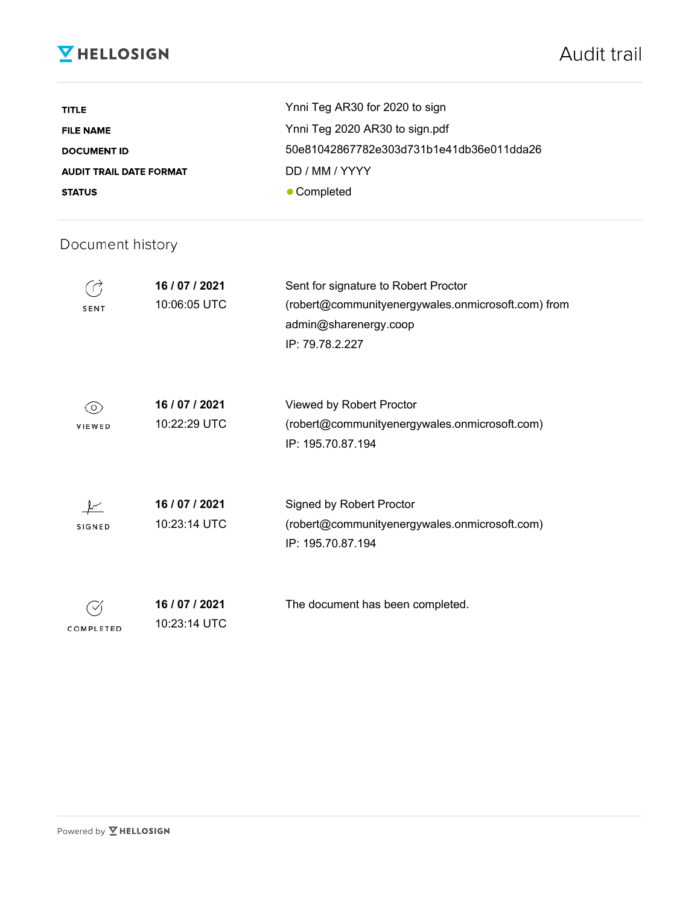# **V** HELLOSIGN

| <b>TITLE</b>                   | Ynni Teg AR30 for 2020 to sign           |
|--------------------------------|------------------------------------------|
| <b>FILE NAME</b>               | Ynni Teg 2020 AR30 to sign.pdf           |
| <b>DOCUMENT ID</b>             | 50e81042867782e303d731b1e41db36e011dda26 |
| <b>AUDIT TRAIL DATE FORMAT</b> | DD / MM / YYYY                           |
| <b>STATUS</b>                  | • Completed                              |

## Document history

| SENT          | 16 / 07 / 2021<br>10:06:05 UTC | Sent for signature to Robert Proctor<br>(robert@communityenergywales.onmicrosoft.com) from<br>admin@sharenergy.coop<br>IP: 79.78.2.227 |
|---------------|--------------------------------|----------------------------------------------------------------------------------------------------------------------------------------|
| 0)<br>VIEWED  | 16 / 07 / 2021<br>10:22:29 UTC | Viewed by Robert Proctor<br>(robert@communityenergywales.onmicrosoft.com)<br>IP: 195.70.87.194                                         |
| <b>SIGNED</b> | 16 / 07 / 2021<br>10:23:14 UTC | Signed by Robert Proctor<br>(robert@communityenergywales.onmicrosoft.com)<br>IP: 195.70.87.194                                         |
| COMPLETED     | 16 / 07 / 2021<br>10:23:14 UTC | The document has been completed.                                                                                                       |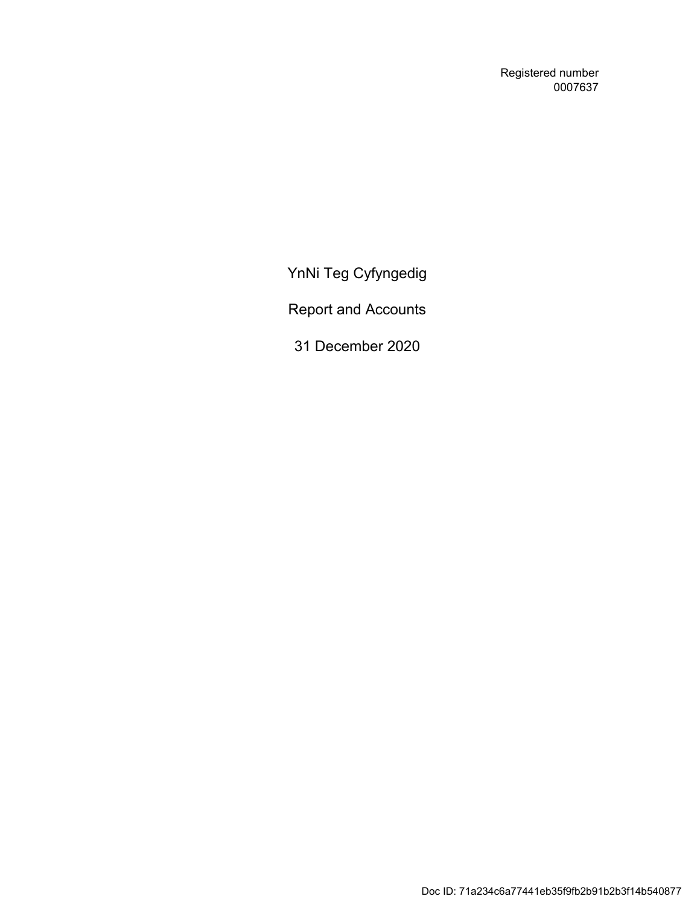Registered number 0007637

YnNi Teg Cyfyngedig

Report and Accounts

31 December 2020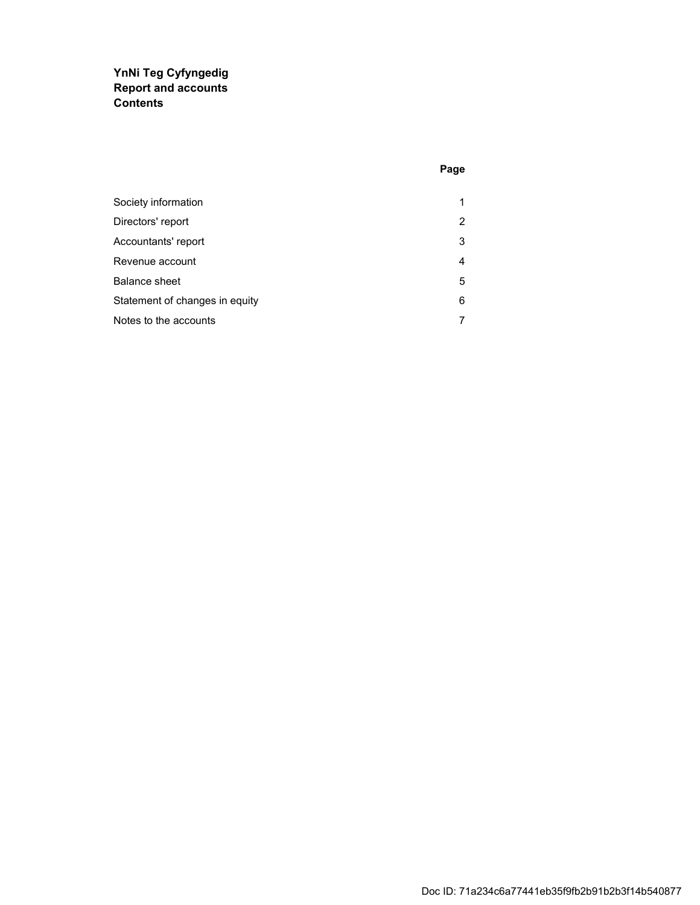### **YnNi Teg Cyfyngedig Report and accounts Contents**

| Society information            | 1 |
|--------------------------------|---|
| Directors' report              | 2 |
| Accountants' report            | 3 |
| Revenue account                | 4 |
| Balance sheet                  | 5 |
| Statement of changes in equity | 6 |
| Notes to the accounts          | 7 |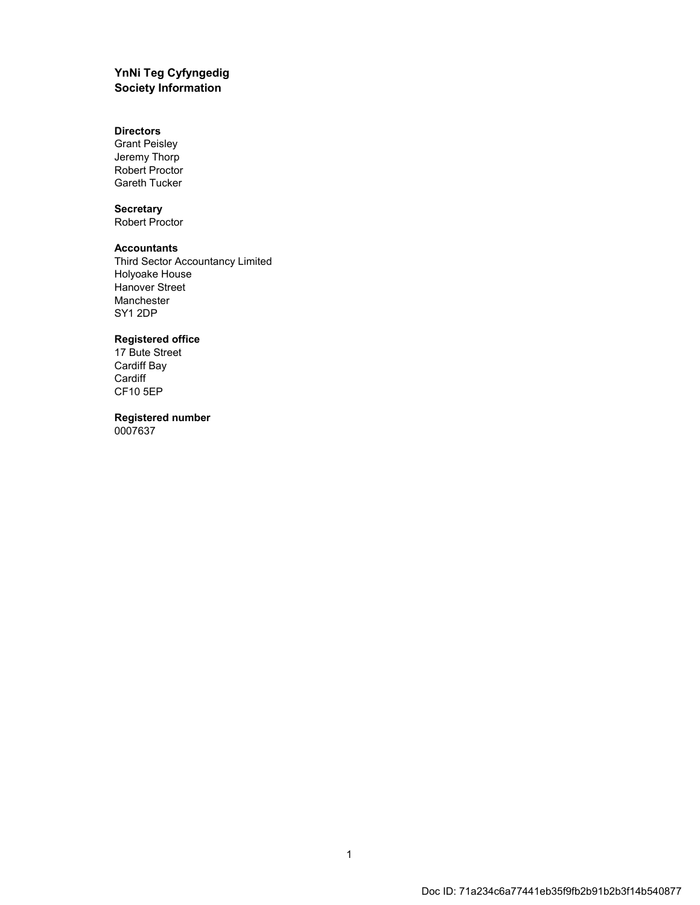#### **YnNi Teg Cyfyngedig Society Information**

#### **Directors**

Grant Peisley Jeremy Thorp Robert Proctor Gareth Tucker

#### **Secretary**

Robert Proctor

#### **Accountants**

Third Sector Accountancy Limited Holyoake House Hanover Street Manchester SY1 2DP

#### **Registered office**

17 Bute Street Cardiff Bay **Cardiff** CF10 5EP

#### **Registered number** 0007637

1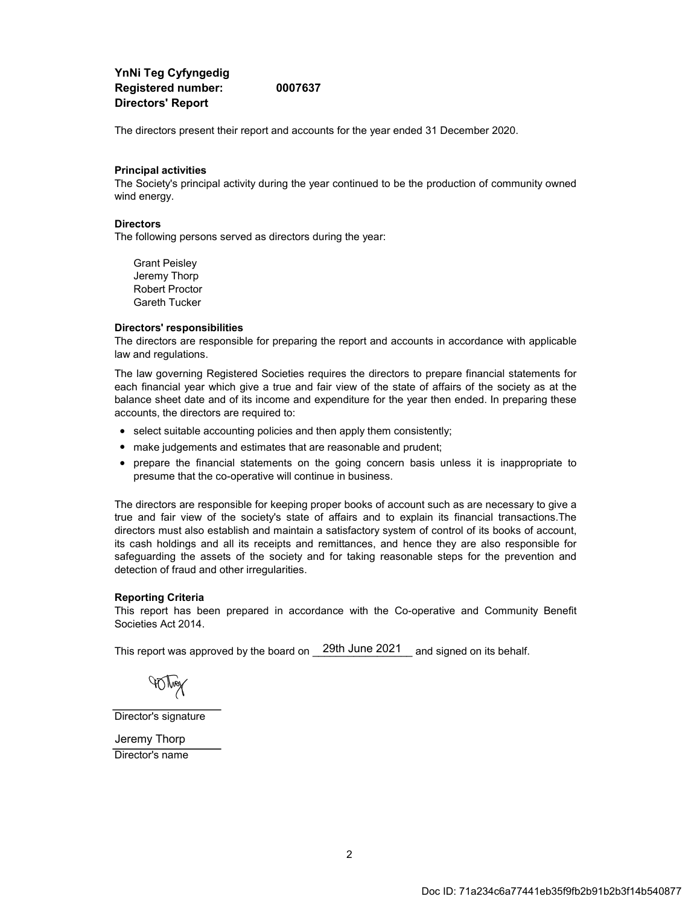**YnNi Teg Cyfyngedig Registered number: 0007637 Directors' Report**

The directors present their report and accounts for the year ended 31 December 2020.

#### **Principal activities**

The Society's principal activity during the year continued to be the production of community owned wind energy.

#### **Directors**

The following persons served as directors during the year:

Grant Peisley Jeremy Thorp Robert Proctor Gareth Tucker

#### **Directors' responsibilities**

The directors are responsible for preparing the report and accounts in accordance with applicable law and regulations.

The law governing Registered Societies requires the directors to prepare financial statements for each financial year which give a true and fair view of the state of affairs of the society as at the balance sheet date and of its income and expenditure for the year then ended. In preparing these accounts, the directors are required to:

- select suitable accounting policies and then apply them consistently;
- make judgements and estimates that are reasonable and prudent;
- prepare the financial statements on the going concern basis unless it is inappropriate to presume that the co-operative will continue in business.

The directors are responsible for keeping proper books of account such as are necessary to give a true and fair view of the society's state of affairs and to explain its financial transactions.The directors must also establish and maintain a satisfactory system of control of its books of account, its cash holdings and all its receipts and remittances, and hence they are also responsible for safeguarding the assets of the society and for taking reasonable steps for the prevention and detection of fraud and other irregularities.

#### **Reporting Criteria**

This report has been prepared in accordance with the Co-operative and Community Benefit Societies Act 2014.

This report was approved by the board on  $\_$  29th June 2021  $\_$  and signed on its behalf.

**AQMAX** 

Director's signature

Director's name Jeremy Thorp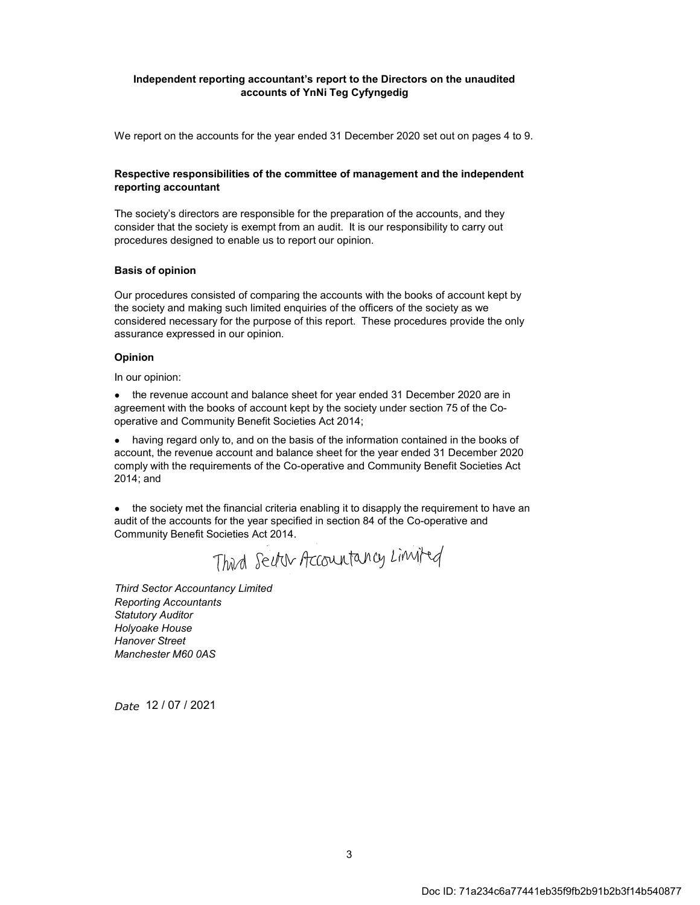#### **Independent reporting accountant's report to the Directors on the unaudited accounts of YnNi Teg Cyfyngedig**

We report on the accounts for the year ended 31 December 2020 set out on pages 4 to 9.

#### **Respective responsibilities of the committee of management and the independent reporting accountant**

The society's directors are responsible for the preparation of the accounts, and they consider that the society is exempt from an audit. It is our responsibility to carry out procedures designed to enable us to report our opinion.

#### **Basis of opinion**

Our procedures consisted of comparing the accounts with the books of account kept by the society and making such limited enquiries of the officers of the society as we considered necessary for the purpose of this report. These procedures provide the only assurance expressed in our opinion.

#### **Opinion**

In our opinion:

• the revenue account and balance sheet for year ended 31 December 2020 are in agreement with the books of account kept by the society under section 75 of the Cooperative and Community Benefit Societies Act 2014;

• having regard only to, and on the basis of the information contained in the books of account, the revenue account and balance sheet for the year ended 31 December 2020 comply with the requirements of the Co-operative and Community Benefit Societies Act 2014; and

● the society met the financial criteria enabling it to disapply the requirement to have an audit of the accounts for the year specified in section 84 of the Co-operative and Community Benefit Societies Act 2014.

Third Sector Accountancy Limited

*Reporting Accountants Statutory Auditor Holyoake House Hanover Street Manchester M60 0AS Third Sector Accountancy Limited*

*Date*  12 / 07 / 2021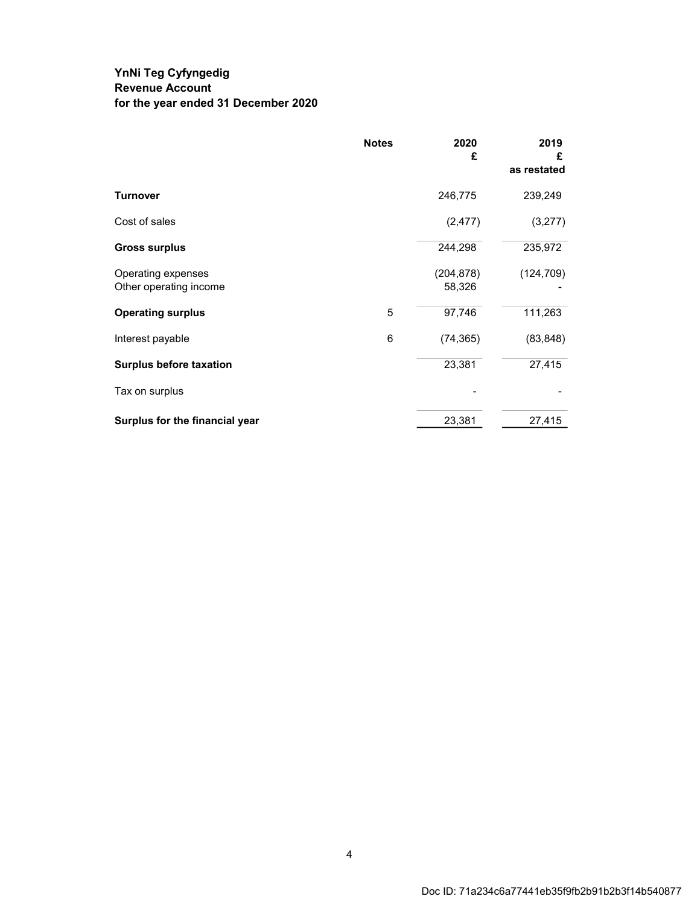### **YnNi Teg Cyfyngedig Revenue Account for the year ended 31 December 2020**

|                                              | <b>Notes</b> | 2020<br>£            | 2019<br>£<br>as restated |
|----------------------------------------------|--------------|----------------------|--------------------------|
| <b>Turnover</b>                              |              | 246,775              | 239,249                  |
| Cost of sales                                |              | (2, 477)             | (3,277)                  |
| <b>Gross surplus</b>                         |              | 244,298              | 235,972                  |
| Operating expenses<br>Other operating income |              | (204, 878)<br>58,326 | (124, 709)               |
| <b>Operating surplus</b>                     | 5            | 97,746               | 111,263                  |
| Interest payable                             | 6            | (74, 365)            | (83, 848)                |
| <b>Surplus before taxation</b>               |              | 23,381               | 27,415                   |
| Tax on surplus                               |              |                      |                          |
| Surplus for the financial year               |              | 23,381               | 27,415                   |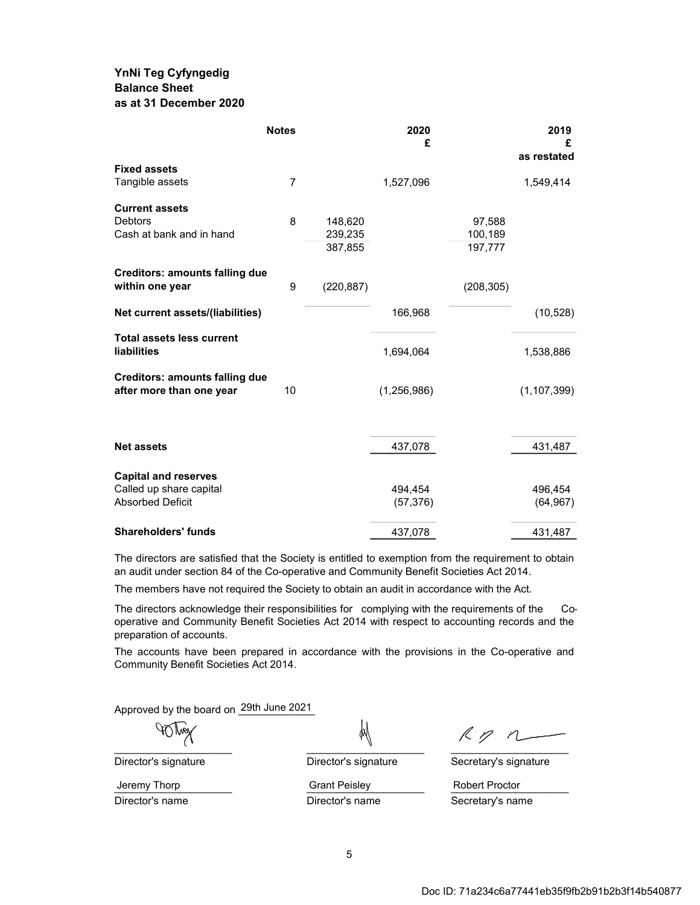### **YnNi Teg Cyfyngedig Balance Sheet as at 31 December 2020**

|                                                        | <b>Notes</b>   |            | 2020<br>£     |            | 2019<br>£<br>as restated |
|--------------------------------------------------------|----------------|------------|---------------|------------|--------------------------|
| <b>Fixed assets</b>                                    |                |            |               |            |                          |
| Tangible assets                                        | $\overline{7}$ |            | 1,527,096     |            | 1,549,414                |
| <b>Current assets</b>                                  |                |            |               |            |                          |
| <b>Debtors</b>                                         | 8              | 148,620    |               | 97,588     |                          |
| Cash at bank and in hand                               |                | 239,235    |               | 100,189    |                          |
|                                                        |                | 387,855    |               | 197,777    |                          |
| <b>Creditors: amounts falling due</b>                  |                |            |               |            |                          |
| within one year                                        | 9              | (220, 887) |               | (208, 305) |                          |
| Net current assets/(liabilities)                       |                |            | 166,968       |            | (10, 528)                |
| <b>Total assets less current</b><br><b>liabilities</b> |                |            | 1,694,064     |            | 1,538,886                |
| <b>Creditors: amounts falling due</b>                  |                |            |               |            |                          |
| after more than one year                               | 10             |            | (1, 256, 986) |            | (1, 107, 399)            |
|                                                        |                |            |               |            |                          |
| <b>Net assets</b>                                      |                |            | 437,078       |            | 431,487                  |
| <b>Capital and reserves</b>                            |                |            |               |            |                          |
| Called up share capital                                |                |            | 494,454       |            | 496,454                  |
| <b>Absorbed Deficit</b>                                |                |            | (57, 376)     |            | (64, 967)                |
| <b>Shareholders' funds</b>                             |                |            | 437,078       |            | 431,487                  |

The directors are satisfied that the Society is entitled to exemption from the requirement to obtain an audit under section 84 of the Co-operative and Community Benefit Societies Act 2014.

The members have not required the Society to obtain an audit in accordance with the Act.

The directors acknowledge their responsibilities for complying with the requirements of the Cooperative and Community Benefit Societies Act 2014 with respect to accounting records and the preparation of accounts.

The accounts have been prepared in accordance with the provisions in the Co-operative and Community Benefit Societies Act 2014.

Approved by the board on 29th June 2021

W ()}

 $Rp n$  $\overline{a}$ 

Jeremy Thorp **Crant Peisley Robert Proctor** Robert Proctor

Director's signature Director's signature Secretary's signature

Director's name **Director's name** Secretary's name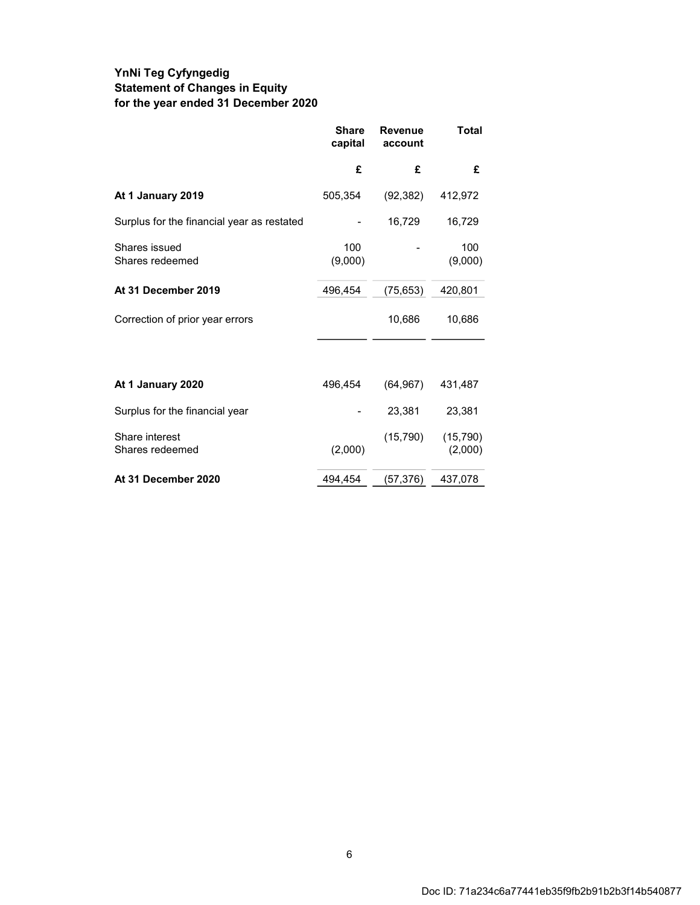### **YnNi Teg Cyfyngedig Statement of Changes in Equity for the year ended 31 December 2020**

|                                            | <b>Share</b><br>capital | <b>Revenue</b><br>account | <b>Total</b>         |
|--------------------------------------------|-------------------------|---------------------------|----------------------|
|                                            | £                       | £                         | £                    |
| At 1 January 2019                          | 505,354                 | (92, 382)                 | 412,972              |
| Surplus for the financial year as restated |                         | 16,729                    | 16,729               |
| Shares issued<br>Shares redeemed           | 100<br>(9,000)          |                           | 100<br>(9,000)       |
| At 31 December 2019                        | 496,454                 | (75, 653)                 | 420,801              |
| Correction of prior year errors            |                         | 10,686                    | 10,686               |
|                                            |                         |                           |                      |
| At 1 January 2020                          | 496,454                 | (64, 967)                 | 431,487              |
| Surplus for the financial year             |                         | 23,381                    | 23,381               |
| Share interest<br>Shares redeemed          | (2,000)                 | (15, 790)                 | (15, 790)<br>(2,000) |
| At 31 December 2020                        | 494,454                 | (57, 376)                 | 437,078              |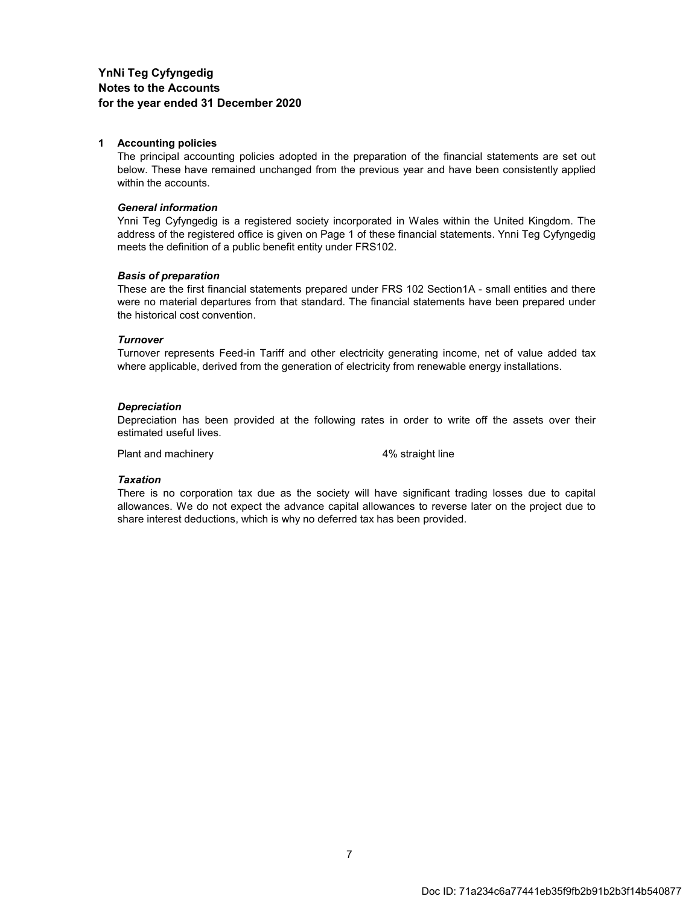#### **1 Accounting policies**

The principal accounting policies adopted in the preparation of the financial statements are set out below. These have remained unchanged from the previous year and have been consistently applied within the accounts.

#### *General information*

Ynni Teg Cyfyngedig is a registered society incorporated in Wales within the United Kingdom. The address of the registered office is given on Page 1 of these financial statements. Ynni Teg Cyfyngedig meets the definition of a public benefit entity under FRS102.

#### *Basis of preparation*

These are the first financial statements prepared under FRS 102 Section1A - small entities and there were no material departures from that standard. The financial statements have been prepared under the historical cost convention.

#### *Turnover*

Turnover represents Feed-in Tariff and other electricity generating income, net of value added tax where applicable, derived from the generation of electricity from renewable energy installations.

#### *Depreciation*

Depreciation has been provided at the following rates in order to write off the assets over their estimated useful lives.

Plant and machinery and the 4% straight line

#### *Taxation*

There is no corporation tax due as the society will have significant trading losses due to capital allowances. We do not expect the advance capital allowances to reverse later on the project due to share interest deductions, which is why no deferred tax has been provided.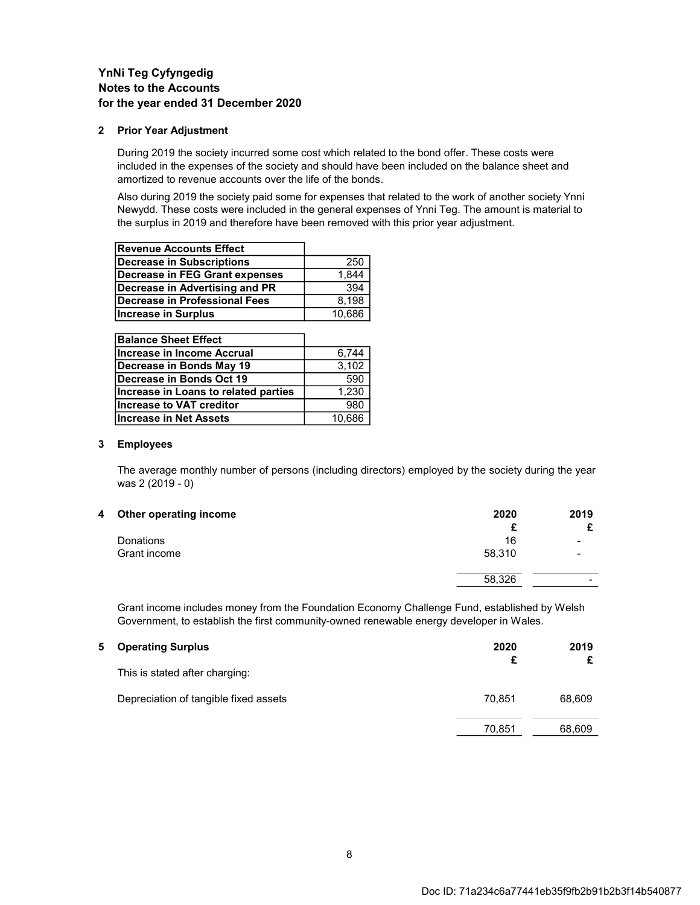#### **2 Prior Year Adjustment**

During 2019 the society incurred some cost which related to the bond offer. These costs were included in the expenses of the society and should have been included on the balance sheet and amortized to revenue accounts over the life of the bonds.

Also during 2019 the society paid some for expenses that related to the work of another society Ynni Newydd. These costs were included in the general expenses of Ynni Teg. The amount is material to the surplus in 2019 and therefore have been removed with this prior year adjustment.

| <b>Revenue Accounts Effect</b> |        |
|--------------------------------|--------|
| Decrease in Subscriptions      | 250    |
| Decrease in FEG Grant expenses | 1,844  |
| Decrease in Advertising and PR | 394    |
| Decrease in Professional Fees  | 8.198  |
| Increase in Surplus            | 10,686 |

| <b>Balance Sheet Effect</b>          |        |
|--------------------------------------|--------|
| Increase in Income Accrual           | 6.744  |
| Decrease in Bonds May 19             | 3,102  |
| Decrease in Bonds Oct 19             | 590    |
| Increase in Loans to related parties | 1,230  |
| Increase to VAT creditor             | 980    |
| Increase in Net Assets               | 10,686 |

#### **3 Employees**

The average monthly number of persons (including directors) employed by the society during the year was 2 (2019 - 0)

| 2020   | 2019 |
|--------|------|
|        | £    |
| 16     | -    |
| 58,310 | -    |
| 58,326 |      |
|        |      |

Grant income includes money from the Foundation Economy Challenge Fund, established by Welsh Government, to establish the first community-owned renewable energy developer in Wales.

| 5. | <b>Operating Surplus</b>              | 2020<br>£ | 2019   |
|----|---------------------------------------|-----------|--------|
|    | This is stated after charging:        |           |        |
|    | Depreciation of tangible fixed assets | 70.851    | 68,609 |
|    |                                       | 70,851    | 68,609 |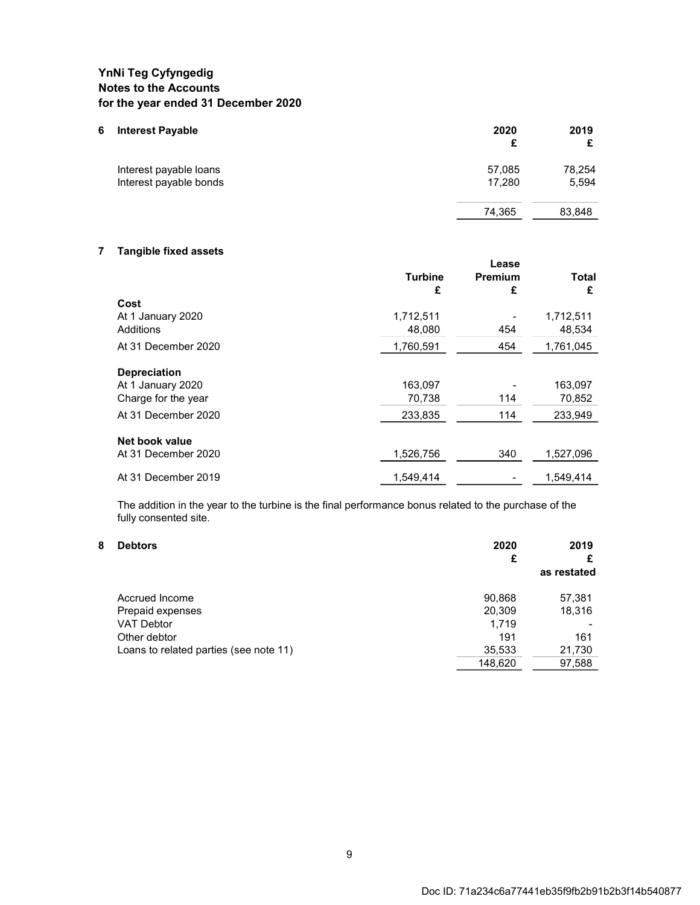| 6 | <b>Interest Payable</b> | 2020<br>£ | 2019   |
|---|-------------------------|-----------|--------|
|   | Interest payable loans  | 57,085    | 78,254 |
|   | Interest payable bonds  | 17.280    | 5,594  |
|   |                         | 74,365    | 83,848 |
|   |                         |           |        |

#### **7 Tangible fixed assets**

|                     | <b>Turbine</b><br>£ | Lease<br>Premium<br>£ | <b>Total</b><br>£ |
|---------------------|---------------------|-----------------------|-------------------|
| Cost                |                     |                       |                   |
| At 1 January 2020   | 1,712,511           |                       | 1,712,511         |
| Additions           | 48,080              | 454                   | 48,534            |
| At 31 December 2020 | 1,760,591           | 454                   | 1,761,045         |
| <b>Depreciation</b> |                     |                       |                   |
| At 1 January 2020   | 163,097             |                       | 163,097           |
| Charge for the year | 70,738              | 114                   | 70,852            |
| At 31 December 2020 | 233,835             | 114                   | 233,949           |
| Net book value      |                     |                       |                   |
| At 31 December 2020 | 1,526,756           | 340                   | 1,527,096         |
| At 31 December 2019 | 1,549,414           |                       | 1,549,414         |

The addition in the year to the turbine is the final performance bonus related to the purchase of the fully consented site.

#### **8 Debtors 2020 2019 £ £ as restated** 90,868 57,381 Prepaid expenses VAT Debtor 1,719 Other debtor 191 161<br>
Loans to related parties (see note 11) 161<br>
21,730 11,730 Loans to related parties (see note 11) 35,533 21,730<br>148,620 37,588 148,620 Accrued Income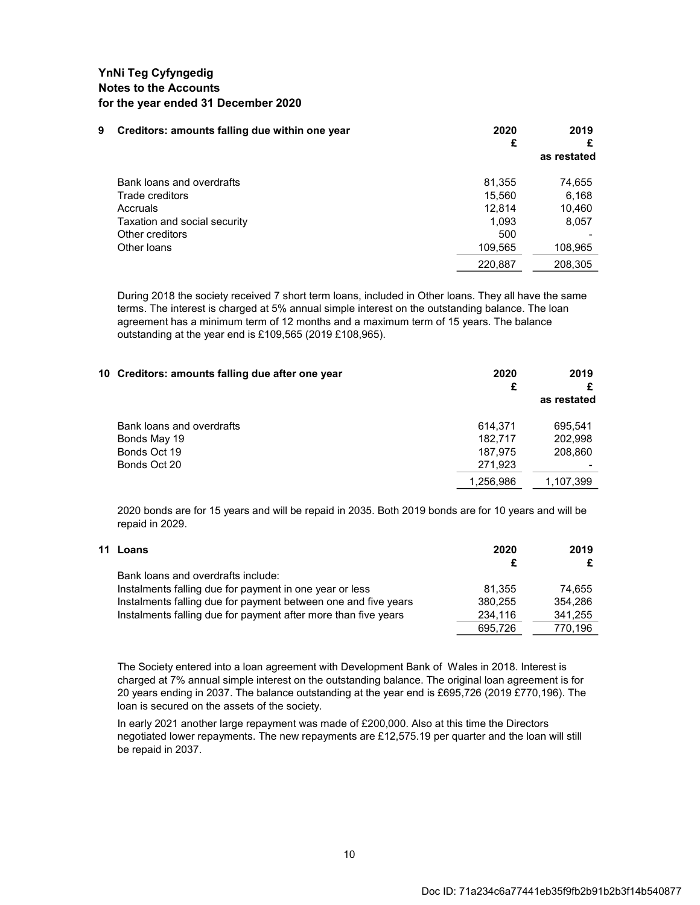| 9 | Creditors: amounts falling due within one year | 2020<br>£ | 2019<br>as restated |
|---|------------------------------------------------|-----------|---------------------|
|   | Bank loans and overdrafts                      | 81,355    | 74,655              |
|   | Trade creditors                                | 15,560    | 6,168               |
|   | Accruals                                       | 12.814    | 10,460              |
|   | Taxation and social security                   | 1.093     | 8,057               |
|   | Other creditors                                | 500       |                     |
|   | Other loans                                    | 109,565   | 108,965             |
|   |                                                | 220,887   | 208,305             |

During 2018 the society received 7 short term loans, included in Other loans. They all have the same terms. The interest is charged at 5% annual simple interest on the outstanding balance. The loan agreement has a minimum term of 12 months and a maximum term of 15 years. The balance outstanding at the year end is £109,565 (2019 £108,965).

| 10 Creditors: amounts falling due after one year | 2020<br>£ | 2019<br>as restated |
|--------------------------------------------------|-----------|---------------------|
| Bank loans and overdrafts                        | 614.371   | 695.541             |
| Bonds May 19                                     | 182.717   | 202,998             |
| Bonds Oct 19                                     | 187.975   | 208,860             |
| Bonds Oct 20                                     | 271,923   |                     |
|                                                  | 1,256,986 | 1,107,399           |
|                                                  |           |                     |

2020 bonds are for 15 years and will be repaid in 2035. Both 2019 bonds are for 10 years and will be repaid in 2029.

| 11 Loans                                                       | 2020    | 2019    |
|----------------------------------------------------------------|---------|---------|
|                                                                | £       |         |
| Bank loans and overdrafts include:                             |         |         |
| Instalments falling due for payment in one year or less        | 81.355  | 74.655  |
| Instalments falling due for payment between one and five years | 380.255 | 354.286 |
| Instalments falling due for payment after more than five years | 234.116 | 341.255 |
|                                                                | 695.726 | 770.196 |

The Society entered into a loan agreement with Development Bank of Wales in 2018. Interest is charged at 7% annual simple interest on the outstanding balance. The original loan agreement is for 20 years ending in 2037. The balance outstanding at the year end is £695,726 (2019 £770,196). The loan is secured on the assets of the society.

In early 2021 another large repayment was made of £200,000. Also at this time the Directors negotiated lower repayments. The new repayments are £12,575.19 per quarter and the loan will still be repaid in 2037.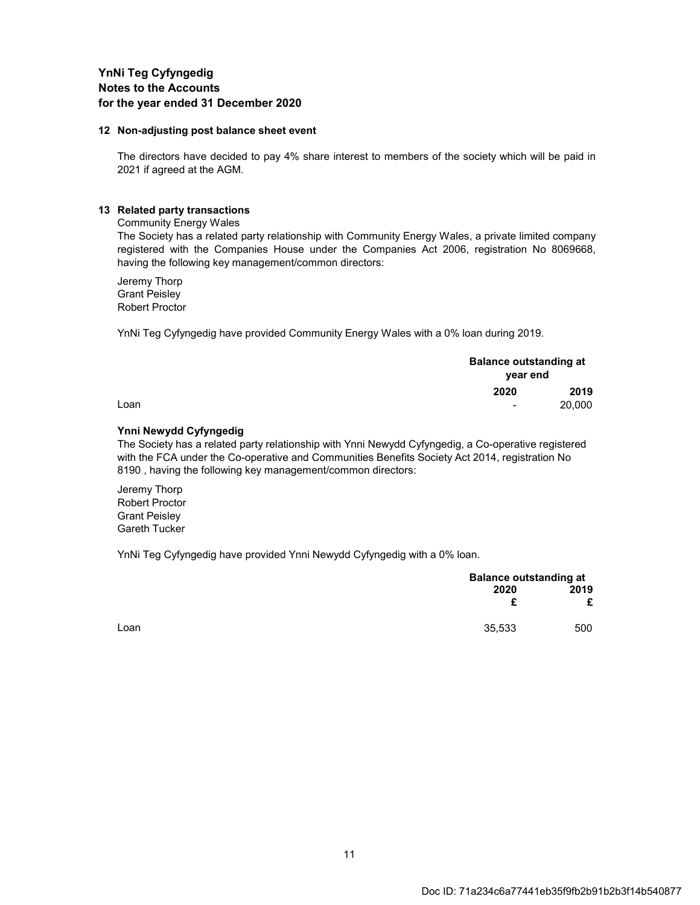#### **12 Non-adjusting post balance sheet event**

The directors have decided to pay 4% share interest to members of the society which will be paid in 2021 if agreed at the AGM.

#### **13 Related party transactions**

Community Energy Wales

The Society has a related party relationship with Community Energy Wales, a private limited company registered with the Companies House under the Companies Act 2006, registration No 8069668, having the following key management/common directors:

Jeremy Thorp Grant Peisley Robert Proctor

YnNi Teg Cyfyngedig have provided Community Energy Wales with a 0% loan during 2019.

|      | <b>Balance outstanding at</b><br>year end |        |
|------|-------------------------------------------|--------|
|      | 2020                                      | 2019   |
| Loan | $\blacksquare$                            | 20,000 |

#### **Ynni Newydd Cyfyngedig**

The Society has a related party relationship with Ynni Newydd Cyfyngedig, a Co-operative registered with the FCA under the Co-operative and Communities Benefits Society Act 2014, registration No 8190 , having the following key management/common directors:

Jeremy Thorp Robert Proctor Grant Peisley Gareth Tucker

YnNi Teg Cyfyngedig have provided Ynni Newydd Cyfyngedig with a 0% loan.

|      |        | <b>Balance outstanding at</b> |  |
|------|--------|-------------------------------|--|
|      | 2020   | 2019                          |  |
|      | £      | £                             |  |
| Loan | 35,533 | 500                           |  |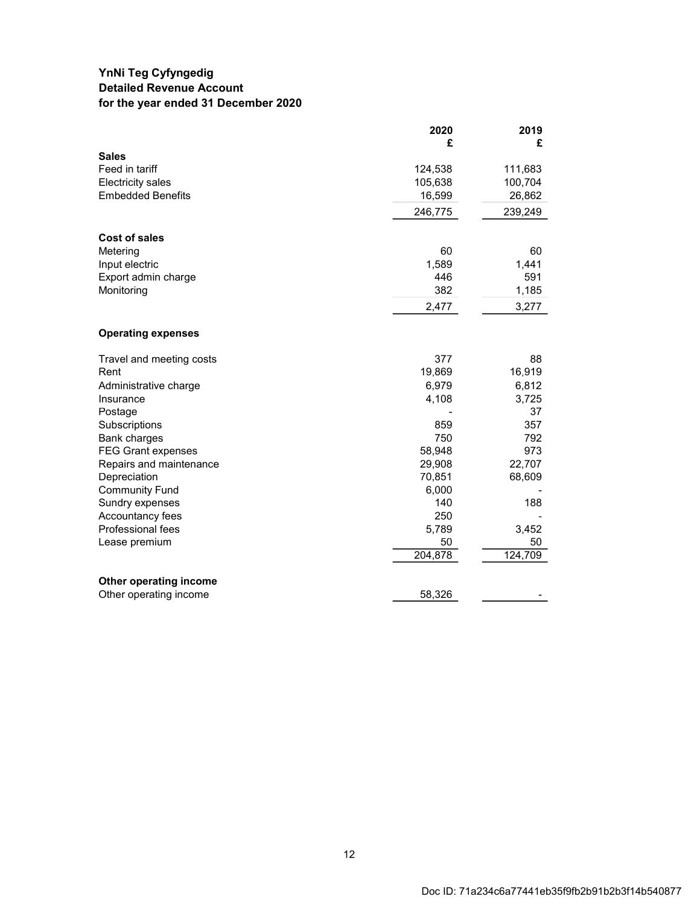### **YnNi Teg Cyfyngedig Detailed Revenue Account for the year ended 31 December 2020**

|                           | 2020    | 2019    |
|---------------------------|---------|---------|
|                           | £       | £       |
| <b>Sales</b>              |         |         |
| Feed in tariff            | 124,538 | 111,683 |
| <b>Electricity sales</b>  | 105,638 | 100,704 |
| <b>Embedded Benefits</b>  | 16,599  | 26,862  |
|                           | 246,775 | 239,249 |
| <b>Cost of sales</b>      |         |         |
| Metering                  | 60      | 60      |
| Input electric            | 1,589   | 1,441   |
| Export admin charge       | 446     | 591     |
| Monitoring                | 382     | 1,185   |
|                           | 2,477   | 3,277   |
| <b>Operating expenses</b> |         |         |
| Travel and meeting costs  | 377     | 88      |
| Rent                      | 19,869  | 16,919  |
| Administrative charge     | 6,979   | 6,812   |
| Insurance                 | 4,108   | 3,725   |
| Postage                   |         | 37      |
| Subscriptions             | 859     | 357     |
| Bank charges              | 750     | 792     |
| <b>FEG Grant expenses</b> | 58,948  | 973     |
| Repairs and maintenance   | 29,908  | 22,707  |
| Depreciation              | 70,851  | 68,609  |
| <b>Community Fund</b>     | 6,000   |         |
| Sundry expenses           | 140     | 188     |
| Accountancy fees          | 250     |         |
| Professional fees         | 5,789   | 3,452   |
| Lease premium             | 50      | 50      |
|                           | 204,878 | 124,709 |
| Other operating income    |         |         |
| Other operating income    | 58,326  |         |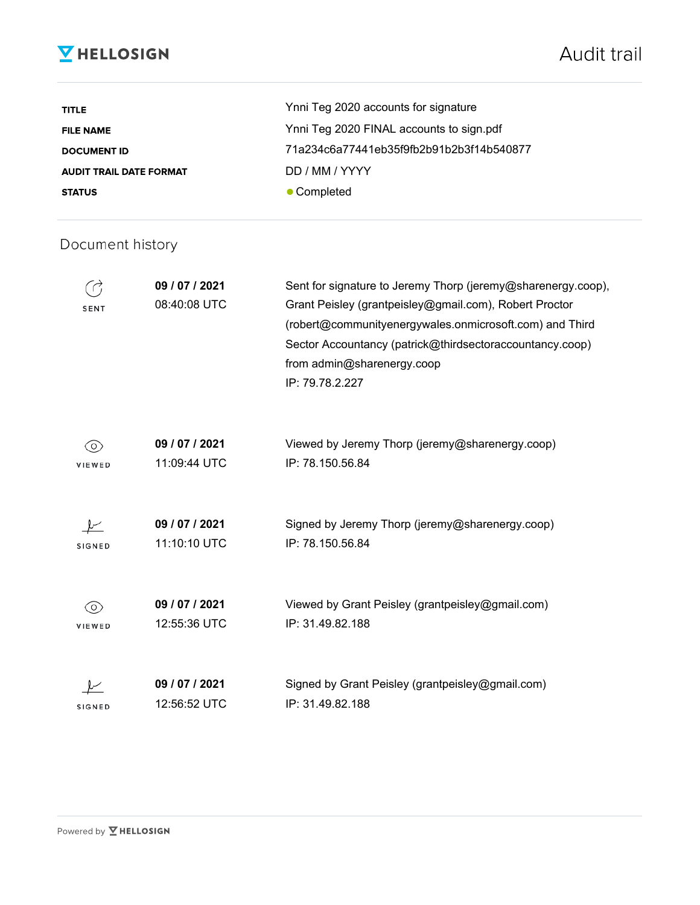# **V** HELLOSIGN

| <b>TITLE</b>                   | Ynni Teg 2020 accounts for signature     |
|--------------------------------|------------------------------------------|
| <b>FILE NAME</b>               | Ynni Teg 2020 FINAL accounts to sign.pdf |
| <b>DOCUMENT ID</b>             | 71a234c6a77441eb35f9fb2b91b2b3f14b540877 |
| <b>AUDIT TRAIL DATE FORMAT</b> | DD / MM / YYYY                           |
| <b>STATUS</b>                  | • Completed                              |

## Document history

| <b>SENT</b>   | 09 / 07 / 2021<br>08:40:08 UTC | Sent for signature to Jeremy Thorp (jeremy@sharenergy.coop),<br>Grant Peisley (grantpeisley@gmail.com), Robert Proctor<br>(robert@communityenergywales.onmicrosoft.com) and Third<br>Sector Accountancy (patrick@thirdsectoraccountancy.coop)<br>from admin@sharenergy.coop<br>IP: 79.78.2.227 |
|---------------|--------------------------------|------------------------------------------------------------------------------------------------------------------------------------------------------------------------------------------------------------------------------------------------------------------------------------------------|
| (O)<br>VIEWED | 09 / 07 / 2021<br>11:09:44 UTC | Viewed by Jeremy Thorp (jeremy@sharenergy.coop)<br>IP: 78.150.56.84                                                                                                                                                                                                                            |
| SIGNED        | 09 / 07 / 2021<br>11:10:10 UTC | Signed by Jeremy Thorp (jeremy@sharenergy.coop)<br>IP: 78.150.56.84                                                                                                                                                                                                                            |
| ⊙<br>VIEWED   | 09 / 07 / 2021<br>12:55:36 UTC | Viewed by Grant Peisley (grantpeisley@gmail.com)<br>IP: 31.49.82.188                                                                                                                                                                                                                           |
| <b>SIGNED</b> | 09 / 07 / 2021<br>12:56:52 UTC | Signed by Grant Peisley (grantpeisley@gmail.com)<br>IP: 31.49.82.188                                                                                                                                                                                                                           |